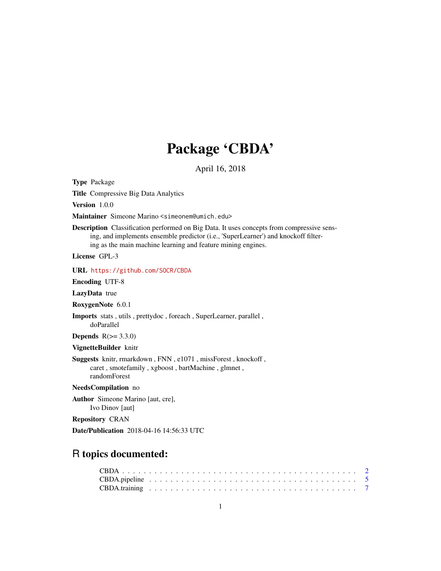# Package 'CBDA'

April 16, 2018

Type Package

Title Compressive Big Data Analytics

Version 1.0.0

Maintainer Simeone Marino <simeonem@umich.edu>

Description Classification performed on Big Data. It uses concepts from compressive sensing, and implements ensemble predictor (i.e., 'SuperLearner') and knockoff filtering as the main machine learning and feature mining engines.

License GPL-3

URL <https://github.com/SOCR/CBDA>

Encoding UTF-8

LazyData true

RoxygenNote 6.0.1

Imports stats , utils , prettydoc , foreach , SuperLearner, parallel , doParallel

Depends  $R(>= 3.3.0)$ 

VignetteBuilder knitr

Suggests knitr, rmarkdown , FNN , e1071 , missForest , knockoff , caret , smotefamily , xgboost , bartMachine , glmnet , randomForest

#### NeedsCompilation no

Author Simeone Marino [aut, cre], Ivo Dinov [aut]

Repository CRAN

Date/Publication 2018-04-16 14:56:33 UTC

# R topics documented: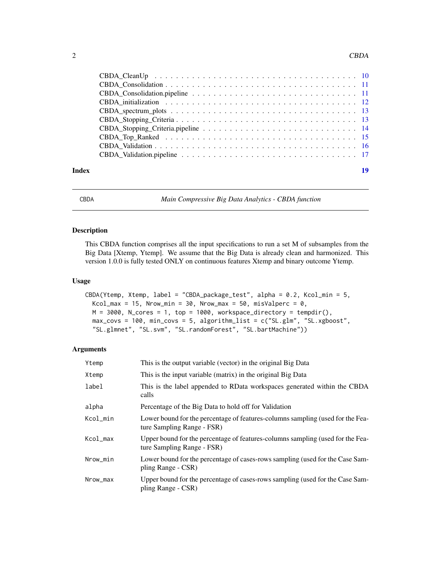#### <span id="page-1-0"></span> $2 \t\t\t CBDA$

| Index | 19 |
|-------|----|

CBDA *Main Compressive Big Data Analytics - CBDA function*

#### Description

This CBDA function comprises all the input specifications to run a set M of subsamples from the Big Data [Xtemp, Ytemp]. We assume that the Big Data is already clean and harmonized. This version 1.0.0 is fully tested ONLY on continuous features Xtemp and binary outcome Ytemp.

#### Usage

```
CBDA(Ytemp, Xtemp, label = "CBDA_package_test", alpha = 0.2, Kcol_min = 5,
 Kcol_max = 15, Nrow_min = 30, Nrow_max = 50, misValperc = 0,
 M = 3000, N_cores = 1, top = 1000, workspace_directory = tempdir(),
 max_covs = 100, min_covs = 5, algorithm_list = c("SL.glm", "SL.xgboost",
  "SL.glmnet", "SL.svm", "SL.randomForest", "SL.bartMachine"))
```
#### Arguments

| Ytemp    | This is the output variable (vector) in the original Big Data                                                |
|----------|--------------------------------------------------------------------------------------------------------------|
| Xtemp    | This is the input variable (matrix) in the original Big Data                                                 |
| label    | This is the label appended to RData workspaces generated within the CBDA<br>calls                            |
| alpha    | Percentage of the Big Data to hold off for Validation                                                        |
| Kcol_min | Lower bound for the percentage of features-columns sampling (used for the Fea-<br>ture Sampling Range - FSR) |
| Kcol_max | Upper bound for the percentage of features-columns sampling (used for the Fea-<br>ture Sampling Range - FSR) |
| Nrow_min | Lower bound for the percentage of cases-rows sampling (used for the Case Sam-<br>pling Range - CSR)          |
| Nrow_max | Upper bound for the percentage of cases-rows sampling (used for the Case Sam-<br>pling Range - CSR)          |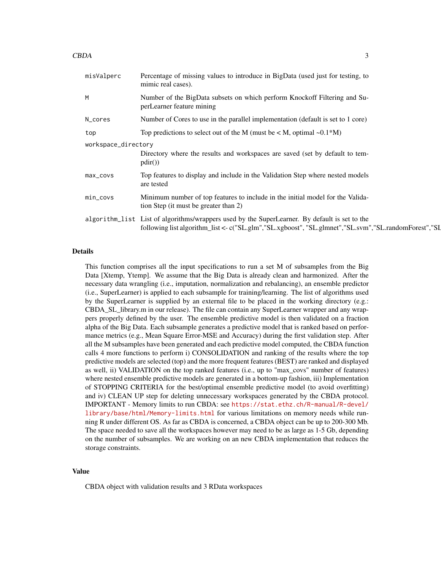#### $\mathbf{C}\mathbf{B}\mathbf{D}\mathbf{A}$  3

| misValperc          | Percentage of missing values to introduce in BigData (used just for testing, to<br>mimic real cases).                                                                                                 |
|---------------------|-------------------------------------------------------------------------------------------------------------------------------------------------------------------------------------------------------|
| M                   | Number of the BigData subsets on which perform Knockoff Filtering and Su-<br>perLearner feature mining                                                                                                |
| N_cores             | Number of Cores to use in the parallel implementation (default is set to 1 core)                                                                                                                      |
| top                 | Top predictions to select out of the M (must be $\langle M, \text{optimal } \sim 0.1 \times M \rangle$ )                                                                                              |
| workspace_directory |                                                                                                                                                                                                       |
|                     | Directory where the results and workspaces are saved (set by default to tem-<br>pdir()                                                                                                                |
| max_covs            | Top features to display and include in the Validation Step where nested models<br>are tested                                                                                                          |
| $min\_covs$         | Minimum number of top features to include in the initial model for the Valida-<br>tion Step (it must be greater than 2)                                                                               |
|                     | algorithm_list List of algorithms/wrappers used by the SuperLearner. By default is set to the<br>following list algorithm_list <- c("SL.glm","SL.xgboost", "SL.glmnet","SL.svm","SL.randomForest","SL |

#### Details

This function comprises all the input specifications to run a set M of subsamples from the Big Data [Xtemp, Ytemp]. We assume that the Big Data is already clean and harmonized. After the necessary data wrangling (i.e., imputation, normalization and rebalancing), an ensemble predictor (i.e., SuperLearner) is applied to each subsample for training/learning. The list of algorithms used by the SuperLearner is supplied by an external file to be placed in the working directory (e.g.: CBDA\_SL\_library.m in our release). The file can contain any SuperLearner wrapper and any wrappers properly defined by the user. The ensemble predictive model is then validated on a fraction alpha of the Big Data. Each subsample generates a predictive model that is ranked based on performance metrics (e.g., Mean Square Error-MSE and Accuracy) during the first validation step. After all the M subsamples have been generated and each predictive model computed, the CBDA function calls 4 more functions to perform i) CONSOLIDATION and ranking of the results where the top predictive models are selected (top) and the more frequent features (BEST) are ranked and displayed as well, ii) VALIDATION on the top ranked features (i.e., up to "max\_covs" number of features) where nested ensemble predictive models are generated in a bottom-up fashion, iii) Implementation of STOPPING CRITERIA for the best/optimal ensemble predictive model (to avoid overfitting) and iv) CLEAN UP step for deleting unnecessary workspaces generated by the CBDA protocol. IMPORTANT - Memory limits to run CBDA: see [https://stat.ethz.ch/R-manual/R-devel/](https://stat.ethz.ch/R-manual/R-devel/library/base/html/Memory-limits.html) [library/base/html/Memory-limits.html](https://stat.ethz.ch/R-manual/R-devel/library/base/html/Memory-limits.html) for various limitations on memory needs while running R under different OS. As far as CBDA is concerned, a CBDA object can be up to 200-300 Mb. The space needed to save all the workspaces however may need to be as large as 1-5 Gb, depending on the number of subsamples. We are working on an new CBDA implementation that reduces the storage constraints.

#### Value

CBDA object with validation results and 3 RData workspaces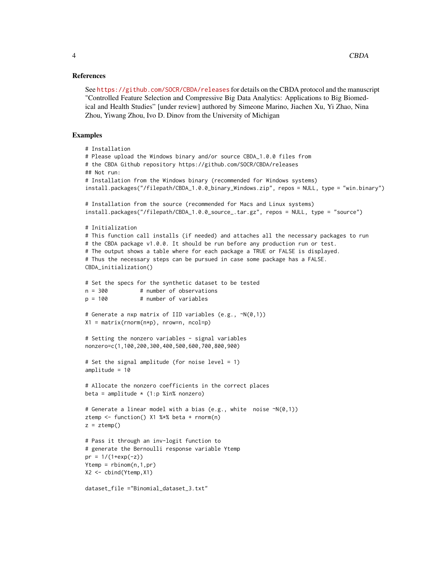#### References

See <https://github.com/SOCR/CBDA/releases> for details on the CBDA protocol and the manuscript "Controlled Feature Selection and Compressive Big Data Analytics: Applications to Big Biomedical and Health Studies" [under review] authored by Simeone Marino, Jiachen Xu, Yi Zhao, Nina Zhou, Yiwang Zhou, Ivo D. Dinov from the University of Michigan

#### Examples

```
# Installation
# Please upload the Windows binary and/or source CBDA_1.0.0 files from
# the CBDA Github repository https://github.com/SOCR/CBDA/releases
## Not run:
# Installation from the Windows binary (recommended for Windows systems)
install.packages("/filepath/CBDA_1.0.0_binary_Windows.zip", repos = NULL, type = "win.binary")
# Installation from the source (recommended for Macs and Linux systems)
install.packages("/filepath/CBDA_1.0.0_source_.tar.gz", repos = NULL, type = "source")
# Initialization
# This function call installs (if needed) and attaches all the necessary packages to run
# the CBDA package v1.0.0. It should be run before any production run or test.
# The output shows a table where for each package a TRUE or FALSE is displayed.
# Thus the necessary steps can be pursued in case some package has a FALSE.
CBDA_initialization()
# Set the specs for the synthetic dataset to be tested
n = 300 # number of observations
p = 100 # number of variables
# Generate a nxp matrix of IID variables (e.g., ~N(0,1))
X1 = matrix(rnorm(n*p), nrow=n, ncol=p)# Setting the nonzero variables - signal variables
nonzero=c(1,100,200,300,400,500,600,700,800,900)
# Set the signal amplitude (for noise level = 1)
amplitude = 10
# Allocate the nonzero coefficients in the correct places
beta = amplitude * (1:p %in% nonzero)
# Generate a linear model with a bias (e.g., white noise ~N(0,1))
ztemp <- function() X1 %*% beta + rnorm(n)
z = ztemp()
# Pass it through an inv-logit function to
# generate the Bernoulli response variable Ytemp
pr = 1/(1+exp(-z))Ytemp = rbinom(n,1,pr)X2 <- cbind(Ytemp,X1)
dataset_file ="Binomial_dataset_3.txt"
```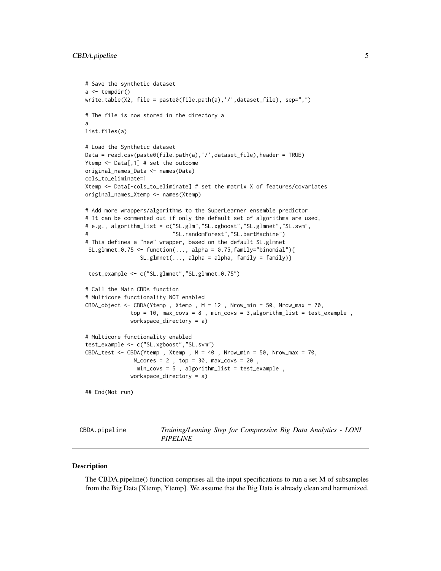```
# Save the synthetic dataset
a \leftarrow \text{tempdir}()write.table(X2, file = paste0(file.path(a),'/',dataset_file), sep=",")
# The file is now stored in the directory a
a
list.files(a)
# Load the Synthetic dataset
Data = read.csv(paste0(file.path(a),'/',dataset_file),header = TRUE)
Ytemp <- Data[,1] # set the outcome
original_names_Data <- names(Data)
cols_to_eliminate=1
Xtemp <- Data[-cols_to_eliminate] # set the matrix X of features/covariates
original_names_Xtemp <- names(Xtemp)
# Add more wrappers/algorithms to the SuperLearner ensemble predictor
# It can be commented out if only the default set of algorithms are used,
# e.g., algorithm_list = c("SL.glm","SL.xgboost","SL.glmnet","SL.svm",
                            "SL.randomForest", "SL.bartMachine")
# This defines a "new" wrapper, based on the default SL.glmnet
 SL.glmnet.0.75 <- function(..., alpha = 0.75, family="binomial"){
                 SL.glmnet(..., alpha = alpha, family = family)}
 test_example <- c("SL.glmnet","SL.glmnet.0.75")
# Call the Main CBDA function
# Multicore functionality NOT enabled
CBDA_object <- CBDA(Ytemp, Xtemp, M = 12, Nrow_min = 50, Nrow_max = 70,
              top = 10, max_{covs} = 8, min_{covs} = 3, algorithm_{list} = test_{example},
              workspace_directory = a)
# Multicore functionality enabled
test_example <- c("SL.xgboost","SL.svm")
CBDA_test <- CBDA(Ytemp, Xtemp, M = 40, Nrow_min = 50, Nrow_max = 70,
               N_{\text{cores}} = 2, top = 30, max<sub>-covs</sub> = 20,
                min_covs = 5 , algorithm_list = test_example ,
              workspace_directory = a)
## End(Not run)
```
CBDA.pipeline *Training/Leaning Step for Compressive Big Data Analytics - LONI PIPELINE*

#### **Description**

The CBDA.pipeline() function comprises all the input specifications to run a set M of subsamples from the Big Data [Xtemp, Ytemp]. We assume that the Big Data is already clean and harmonized.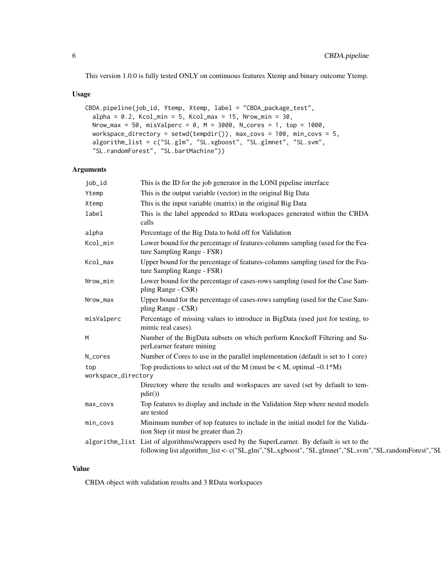This version 1.0.0 is fully tested ONLY on continuous features Xtemp and binary outcome Ytemp.

#### Usage

```
CBDA.pipeline(job_id, Ytemp, Xtemp, label = "CBDA_package_test",
  alpha = 0.2, Kcol_min = 5, Kcol_max = 15, Nrow_min = 30,
 Nrow_max = 50, misValperc = 0, M = 3000, N\_cores = 1, top = 1000,
 workspace_directory = setwd(tempdir()), max_covs = 100, min_covs = 5,
  algorithm_list = c("SL.glm", "SL.xgboost", "SL.glmnet", "SL.svm",
  "SL.randomForest", "SL.bartMachine"))
```
#### Arguments

| This is the output variable (vector) in the original Big Data<br>This is the input variable (matrix) in the original Big Data<br>This is the label appended to RData workspaces generated within the CBDA |
|-----------------------------------------------------------------------------------------------------------------------------------------------------------------------------------------------------------|
|                                                                                                                                                                                                           |
|                                                                                                                                                                                                           |
|                                                                                                                                                                                                           |
| Percentage of the Big Data to hold off for Validation                                                                                                                                                     |
| Lower bound for the percentage of features-columns sampling (used for the Fea-                                                                                                                            |
| Upper bound for the percentage of features-columns sampling (used for the Fea-                                                                                                                            |
| Lower bound for the percentage of cases-rows sampling (used for the Case Sam-                                                                                                                             |
| Upper bound for the percentage of cases-rows sampling (used for the Case Sam-                                                                                                                             |
| Percentage of missing values to introduce in BigData (used just for testing, to                                                                                                                           |
| Number of the BigData subsets on which perform Knockoff Filtering and Su-                                                                                                                                 |
| Number of Cores to use in the parallel implementation (default is set to 1 core)                                                                                                                          |
| Top predictions to select out of the M (must be $\langle M, \text{ optimal } \sim 0.1 \times M \rangle$ )                                                                                                 |
|                                                                                                                                                                                                           |
| Directory where the results and workspaces are saved (set by default to tem-                                                                                                                              |
| Top features to display and include in the Validation Step where nested models                                                                                                                            |
| Minimum number of top features to include in the initial model for the Valida-                                                                                                                            |
| algorithm_list List of algorithms/wrappers used by the SuperLearner. By default is set to the<br>following list algorithm_list <- c("SL.glm","SL.xgboost", "SL.glmnet","SL.svm","SL.randomForest","SL     |
| tion Step (it must be greater than 2)                                                                                                                                                                     |

# Value

CBDA object with validation results and 3 RData workspaces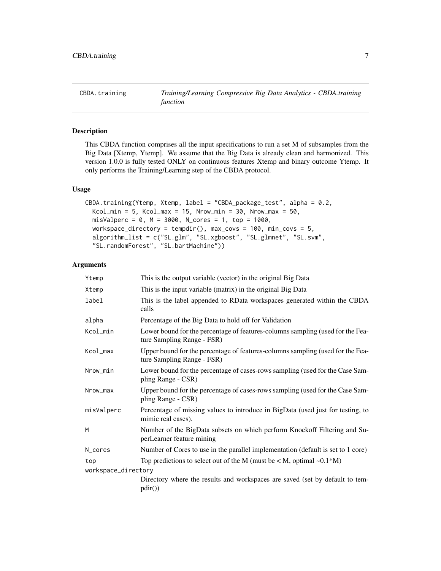<span id="page-6-0"></span>

# Description

This CBDA function comprises all the input specifications to run a set M of subsamples from the Big Data [Xtemp, Ytemp]. We assume that the Big Data is already clean and harmonized. This version 1.0.0 is fully tested ONLY on continuous features Xtemp and binary outcome Ytemp. It only performs the Training/Learning step of the CBDA protocol.

#### Usage

```
CBDA.training(Ytemp, Xtemp, label = "CBDA_package_test", alpha = 0.2,
  Kcol\_min = 5, Kcol\_max = 15, Nrow\_min = 30, Nrow\_max = 50,
  misValperc = 0, M = 3000, N_cores = 1, top = 1000,
  workspace_directory = tempdir(), max_covs = 100, min_covs = 5,
  algorithm_list = c("SL.glm", "SL.xgboost", "SL.glmnet", "SL.svm",
  "SL.randomForest", "SL.bartMachine"))
```
#### Arguments

| Ytemp               | This is the output variable (vector) in the original Big Data                                                |
|---------------------|--------------------------------------------------------------------------------------------------------------|
| Xtemp               | This is the input variable (matrix) in the original Big Data                                                 |
| label               | This is the label appended to RData workspaces generated within the CBDA<br>calls                            |
| alpha               | Percentage of the Big Data to hold off for Validation                                                        |
| Kcol_min            | Lower bound for the percentage of features-columns sampling (used for the Fea-<br>ture Sampling Range - FSR) |
| Kcol_max            | Upper bound for the percentage of features-columns sampling (used for the Fea-<br>ture Sampling Range - FSR) |
| Nrow_min            | Lower bound for the percentage of cases-rows sampling (used for the Case Sam-<br>pling Range - CSR)          |
| Nrow_max            | Upper bound for the percentage of cases-rows sampling (used for the Case Sam-<br>pling Range - CSR)          |
| misValperc          | Percentage of missing values to introduce in BigData (used just for testing, to<br>mimic real cases).        |
| M                   | Number of the BigData subsets on which perform Knockoff Filtering and Su-<br>perLearner feature mining       |
| N_cores             | Number of Cores to use in the parallel implementation (default is set to 1 core)                             |
| top                 | Top predictions to select out of the M (must be $\langle M, \text{optimal } \sim 0.1 \times M \rangle$ )     |
| workspace_directory |                                                                                                              |
|                     | Directory where the results and workspaces are saved (set by default to tem-<br>pdir())                      |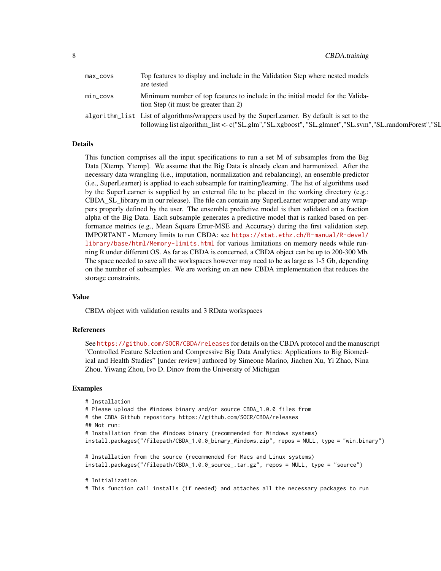| $max_{1 covs$ | Top features to display and include in the Validation Step where nested models<br>are tested                                                                                                          |
|---------------|-------------------------------------------------------------------------------------------------------------------------------------------------------------------------------------------------------|
| min_covs      | Minimum number of top features to include in the initial model for the Valida-<br>tion Step (it must be greater than 2)                                                                               |
|               | algorithm_list List of algorithms/wrappers used by the SuperLearner. By default is set to the<br>following list algorithm_list <- c("SL.glm","SL.xgboost", "SL.glmnet","SL.svm","SL.randomForest","SL |

#### Details

This function comprises all the input specifications to run a set M of subsamples from the Big Data [Xtemp, Ytemp]. We assume that the Big Data is already clean and harmonized. After the necessary data wrangling (i.e., imputation, normalization and rebalancing), an ensemble predictor (i.e., SuperLearner) is applied to each subsample for training/learning. The list of algorithms used by the SuperLearner is supplied by an external file to be placed in the working directory (e.g.: CBDA\_SL\_library.m in our release). The file can contain any SuperLearner wrapper and any wrappers properly defined by the user. The ensemble predictive model is then validated on a fraction alpha of the Big Data. Each subsample generates a predictive model that is ranked based on performance metrics (e.g., Mean Square Error-MSE and Accuracy) during the first validation step. IMPORTANT - Memory limits to run CBDA: see [https://stat.ethz.ch/R-manual/R-devel/](https://stat.ethz.ch/R-manual/R-devel/library/base/html/Memory-limits.html) [library/base/html/Memory-limits.html](https://stat.ethz.ch/R-manual/R-devel/library/base/html/Memory-limits.html) for various limitations on memory needs while running R under different OS. As far as CBDA is concerned, a CBDA object can be up to 200-300 Mb. The space needed to save all the workspaces however may need to be as large as 1-5 Gb, depending on the number of subsamples. We are working on an new CBDA implementation that reduces the storage constraints.

#### Value

CBDA object with validation results and 3 RData workspaces

#### References

See <https://github.com/SOCR/CBDA/releases> for details on the CBDA protocol and the manuscript "Controlled Feature Selection and Compressive Big Data Analytics: Applications to Big Biomedical and Health Studies" [under review] authored by Simeone Marino, Jiachen Xu, Yi Zhao, Nina Zhou, Yiwang Zhou, Ivo D. Dinov from the University of Michigan

#### Examples

```
# Installation
# Please upload the Windows binary and/or source CBDA_1.0.0 files from
# the CBDA Github repository https://github.com/SOCR/CBDA/releases
## Not run:
# Installation from the Windows binary (recommended for Windows systems)
install.packages("/filepath/CBDA_1.0.0_binary_Windows.zip", repos = NULL, type = "win.binary")
# Installation from the source (recommended for Macs and Linux systems)
install.packages("/filepath/CBDA_1.0.0_source_.tar.gz", repos = NULL, type = "source")
# Initialization
```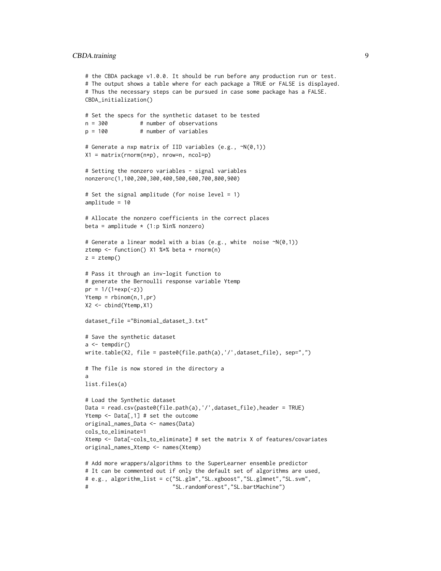#### CBDA.training 9

```
# the CBDA package v1.0.0. It should be run before any production run or test.
# The output shows a table where for each package a TRUE or FALSE is displayed.
# Thus the necessary steps can be pursued in case some package has a FALSE.
CBDA_initialization()
# Set the specs for the synthetic dataset to be tested
n = 300 # number of observations
p = 100 # number of variables
# Generate a nxp matrix of IID variables (e.g., ~N(0,1))
X1 = matrix(rnorm(n*p), nrow=n, ncol=p)# Setting the nonzero variables - signal variables
nonzero=c(1,100,200,300,400,500,600,700,800,900)
# Set the signal amplitude (for noise level = 1)
amplitude = 10
# Allocate the nonzero coefficients in the correct places
beta = amplitude * (1:p %in% nonzero)
# Generate a linear model with a bias (e.g., white noise ~N(0,1))
ztemp <- function() X1 %*% beta + rnorm(n)
z = ztemp()
# Pass it through an inv-logit function to
# generate the Bernoulli response variable Ytemp
pr = 1/(1+exp(-z))Ytemp = rbinom(n,1,pr)
X2 <- cbind(Ytemp,X1)
dataset_file ="Binomial_dataset_3.txt"
# Save the synthetic dataset
a \leftarrow tempdir()write.table(X2, file = paste0(file.path(a),'/',dataset_file), sep=",")
# The file is now stored in the directory a
a
list.files(a)
# Load the Synthetic dataset
Data = read.csv(paste0(file.path(a),'/',dataset_file),header = TRUE)
Ytemp <- Data[,1] # set the outcome
original_names_Data <- names(Data)
cols_to_eliminate=1
Xtemp <- Data[-cols_to_eliminate] # set the matrix X of features/covariates
original_names_Xtemp <- names(Xtemp)
# Add more wrappers/algorithms to the SuperLearner ensemble predictor
# It can be commented out if only the default set of algorithms are used,
# e.g., algorithm_list = c("SL.glm","SL.xgboost","SL.glmnet","SL.svm",
# "SL.randomForest","SL.bartMachine")
```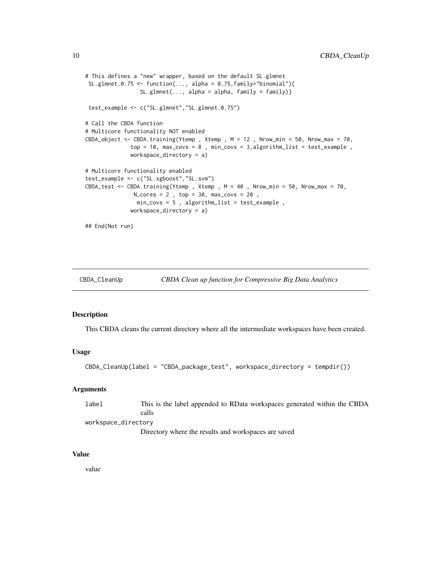```
# This defines a "new" wrapper, based on the default SL.glmnet
SL.glmnet.0.75 <- function(..., alpha = 0.75, family="binomial"){
                 SL.glmnet(..., alpha = alpha, family = family)test_example <- c("SL.glmnet","SL.glmnet.0.75")
# Call the CBDA function
# Multicore functionality NOT enabled
CBDA_object <- CBDA.training(Ytemp, Xtemp, M = 12, Nrow_min = 50, Nrow_max = 70,
              top = 10, max_{covs} = 8, min_{covs} = 3, algorithm_{list} = test_{example},
              workspace_directory = a)
# Multicore functionality enabled
test_example <- c("SL.xgboost","SL.svm")
CBDA_test <- CBDA.training(Ytemp , Xtemp , M = 40 , Nrow_min = 50, Nrow_max = 70,
               N_{\text{cores}} = 2, top = 30, max_covs = 20,
                min_covs = 5 , algorithm_list = test_example ,
              workspace_directory = a)
## End(Not run)
```

| CBDA_CleanUp |  | CBDA Clean up function for Compressive Big Data Analytics |
|--------------|--|-----------------------------------------------------------|
|              |  |                                                           |

#### Description

This CBDA cleans the current directory where all the intermediate workspaces have been created.

#### Usage

```
CBDA_CleanUp(label = "CBDA_package_test", workspace_directory = tempdir())
```
#### **Arguments**

| label               | This is the label appended to RData workspaces generated within the CBDA |
|---------------------|--------------------------------------------------------------------------|
|                     | calls                                                                    |
| workspace_directory |                                                                          |

Directory where the results and workspaces are saved

#### Value

value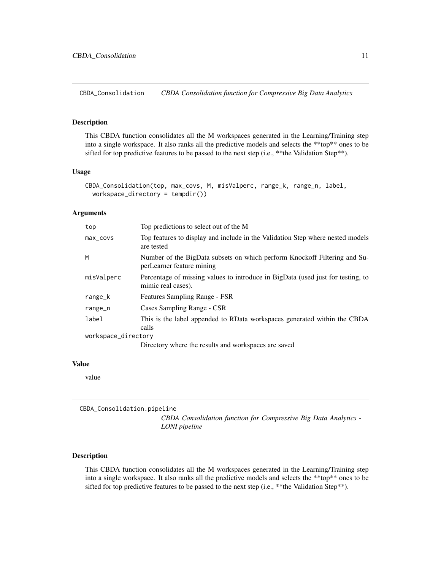<span id="page-10-0"></span>CBDA\_Consolidation *CBDA Consolidation function for Compressive Big Data Analytics*

#### Description

This CBDA function consolidates all the M workspaces generated in the Learning/Training step into a single workspace. It also ranks all the predictive models and selects the \*\*top\*\* ones to be sifted for top predictive features to be passed to the next step (i.e., \*\* the Validation Step\*\*).

#### Usage

```
CBDA_Consolidation(top, max_covs, M, misValperc, range_k, range_n, label,
 workspace_directory = tempdir())
```
#### **Arguments**

| top                 | Top predictions to select out of the M                                                                 |
|---------------------|--------------------------------------------------------------------------------------------------------|
| max_covs            | Top features to display and include in the Validation Step where nested models<br>are tested           |
| M                   | Number of the BigData subsets on which perform Knockoff Filtering and Su-<br>perLearner feature mining |
| misValperc          | Percentage of missing values to introduce in BigData (used just for testing, to<br>mimic real cases).  |
| range_k             | Features Sampling Range - FSR                                                                          |
| range_n             | Cases Sampling Range - CSR                                                                             |
| label               | This is the label appended to RData workspaces generated within the CBDA<br>calls                      |
| workspace_directory |                                                                                                        |
|                     | Directory where the results and workspaces are saved                                                   |

#### Value

value

CBDA\_Consolidation.pipeline *CBDA Consolidation function for Compressive Big Data Analytics - LONI pipeline*

#### Description

This CBDA function consolidates all the M workspaces generated in the Learning/Training step into a single workspace. It also ranks all the predictive models and selects the \*\*top\*\* ones to be sifted for top predictive features to be passed to the next step (i.e., \*\* the Validation Step\*\*).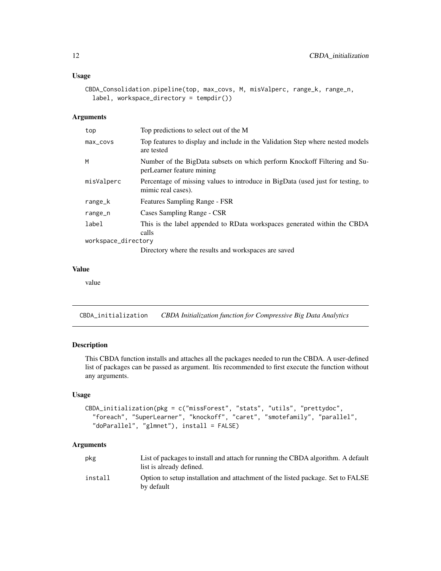#### <span id="page-11-0"></span>Usage

```
CBDA_Consolidation.pipeline(top, max_covs, M, misValperc, range_k, range_n,
  label, workspace_directory = tempdir())
```
#### Arguments

| top                 | Top predictions to select out of the M                                                                 |
|---------------------|--------------------------------------------------------------------------------------------------------|
| max_covs            | Top features to display and include in the Validation Step where nested models<br>are tested           |
| M                   | Number of the BigData subsets on which perform Knockoff Filtering and Su-<br>perLearner feature mining |
| misValperc          | Percentage of missing values to introduce in BigData (used just for testing, to<br>mimic real cases).  |
| range_k             | Features Sampling Range - FSR                                                                          |
| range_n             | Cases Sampling Range - CSR                                                                             |
| label               | This is the label appended to RData workspaces generated within the CBDA<br>calls                      |
| workspace_directory |                                                                                                        |
|                     | Directory where the results and workspaces are saved                                                   |

#### Value

value

CBDA\_initialization *CBDA Initialization function for Compressive Big Data Analytics*

#### Description

This CBDA function installs and attaches all the packages needed to run the CBDA. A user-defined list of packages can be passed as argument. Itis recommended to first execute the function without any arguments.

#### Usage

```
CBDA_initialization(pkg = c("missForest", "stats", "utils", "prettydoc",
  "foreach", "SuperLearner", "knockoff", "caret", "smotefamily", "parallel",
 "doParallel", "glmnet"), install = FALSE)
```
#### Arguments

| pkg     | List of packages to install and attach for running the CBDA algorithm. A default<br>list is already defined. |
|---------|--------------------------------------------------------------------------------------------------------------|
| install | Option to setup installation and attachment of the listed package. Set to FALSE<br>by default                |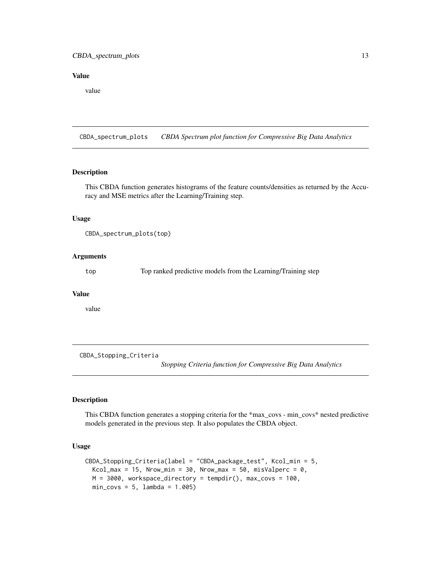#### <span id="page-12-0"></span>CBDA\_spectrum\_plots 13

#### Value

value

CBDA\_spectrum\_plots *CBDA Spectrum plot function for Compressive Big Data Analytics*

#### Description

This CBDA function generates histograms of the feature counts/densities as returned by the Accuracy and MSE metrics after the Learning/Training step.

#### Usage

CBDA\_spectrum\_plots(top)

#### Arguments

top Top ranked predictive models from the Learning/Training step

### Value

value

CBDA\_Stopping\_Criteria

*Stopping Criteria function for Compressive Big Data Analytics*

#### Description

This CBDA function generates a stopping criteria for the \*max\_covs - min\_covs\* nested predictive models generated in the previous step. It also populates the CBDA object.

```
CBDA_Stopping_Criteria(label = "CBDA_package_test", Kcol_min = 5,
 Kcol_max = 15, Nrow_min = 30, Nrow_max = 50, misValperc = 0,
 M = 3000, workspace_directory = tempdir(), max_covs = 100,
 min\_covs = 5, lambda = 1.005)
```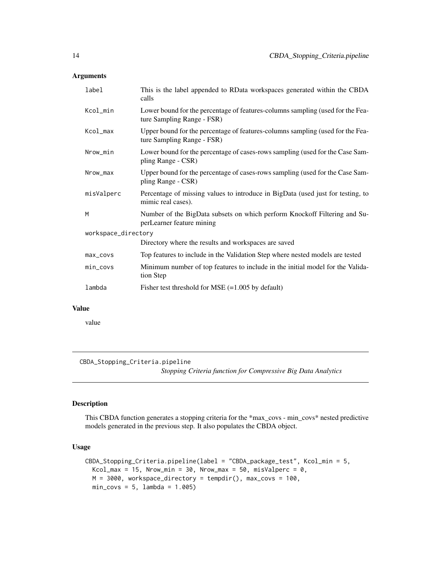<span id="page-13-0"></span>

| label               | This is the label appended to RData workspaces generated within the CBDA<br>calls                            |
|---------------------|--------------------------------------------------------------------------------------------------------------|
| Kcol_min            | Lower bound for the percentage of features-columns sampling (used for the Fea-<br>ture Sampling Range - FSR) |
| Kcol_max            | Upper bound for the percentage of features-columns sampling (used for the Fea-<br>ture Sampling Range - FSR) |
| Nrow_min            | Lower bound for the percentage of cases-rows sampling (used for the Case Sam-<br>pling Range - CSR)          |
| Nrow_max            | Upper bound for the percentage of cases-rows sampling (used for the Case Sam-<br>pling Range - CSR)          |
| misValperc          | Percentage of missing values to introduce in BigData (used just for testing, to<br>mimic real cases).        |
| M                   | Number of the BigData subsets on which perform Knockoff Filtering and Su-<br>perLearner feature mining       |
| workspace_directory |                                                                                                              |
|                     | Directory where the results and workspaces are saved                                                         |
| max_covs            | Top features to include in the Validation Step where nested models are tested                                |
| min_covs            | Minimum number of top features to include in the initial model for the Valida-<br>tion Step                  |
| lambda              | Fisher test threshold for MSE $(=1.005$ by default)                                                          |

#### Value

value

CBDA\_Stopping\_Criteria.pipeline

*Stopping Criteria function for Compressive Big Data Analytics*

#### Description

This CBDA function generates a stopping criteria for the \*max\_covs - min\_covs\* nested predictive models generated in the previous step. It also populates the CBDA object.

```
CBDA_Stopping_Criteria.pipeline(label = "CBDA_package_test", Kcol_min = 5,
 Kcol_max = 15, Nrow_min = 30, Nrow_max = 50, misValperc = 0,
 M = 3000, workspace_directory = tempdir(), max_covs = 100,
 min\_covs = 5, lambda = 1.005)
```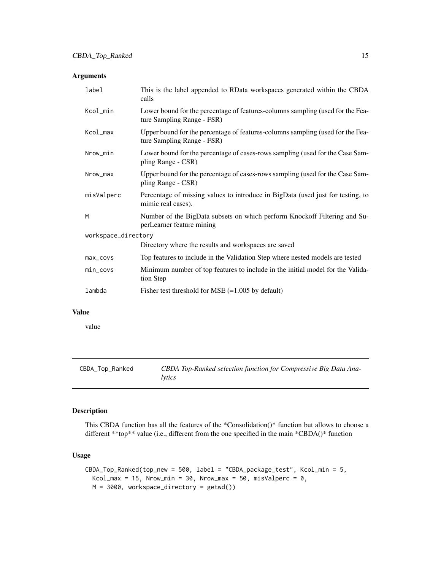<span id="page-14-0"></span>

| label               | This is the label appended to RData workspaces generated within the CBDA<br>calls                            |
|---------------------|--------------------------------------------------------------------------------------------------------------|
| Kcol_min            | Lower bound for the percentage of features-columns sampling (used for the Fea-<br>ture Sampling Range - FSR) |
| Kcol_max            | Upper bound for the percentage of features-columns sampling (used for the Fea-<br>ture Sampling Range - FSR) |
| Nrow_min            | Lower bound for the percentage of cases-rows sampling (used for the Case Sam-<br>pling Range - CSR)          |
| Nrow_max            | Upper bound for the percentage of cases-rows sampling (used for the Case Sam-<br>pling Range - CSR)          |
| misValperc          | Percentage of missing values to introduce in BigData (used just for testing, to<br>mimic real cases).        |
| M                   | Number of the BigData subsets on which perform Knockoff Filtering and Su-<br>perLearner feature mining       |
| workspace_directory |                                                                                                              |
|                     | Directory where the results and workspaces are saved                                                         |
| $max_{1 covs$       | Top features to include in the Validation Step where nested models are tested                                |
| min_covs            | Minimum number of top features to include in the initial model for the Valida-<br>tion Step                  |
| lambda              | Fisher test threshold for MSE $(=1.005$ by default)                                                          |

#### Value

value

| CBDA_Top_Ranked | CBDA Top-Ranked selection function for Compressive Big Data Ana- |
|-----------------|------------------------------------------------------------------|
|                 | lytics                                                           |

### Description

This CBDA function has all the features of the \*Consolidation()\* function but allows to choose a different \*\*top\*\* value (i.e., different from the one specified in the main \*CBDA()\* function

```
CBDA_Top_Ranked(top_new = 500, label = "CBDA_package_test", Kcol_min = 5,
 Kcol_max = 15, Nrow_min = 30, Nrow_max = 50, misValperc = 0,
 M = 3000, workspace_directory = getwd())
```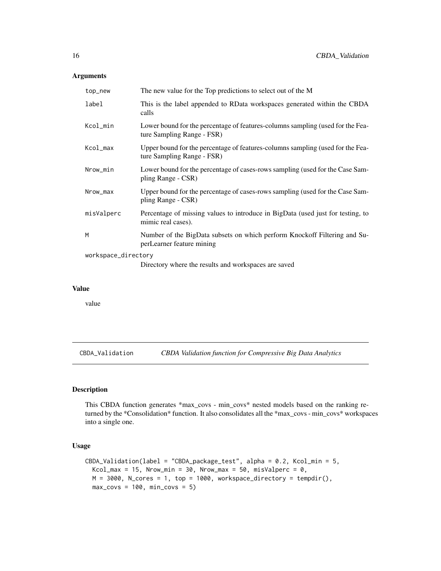<span id="page-15-0"></span>

| top_new             | The new value for the Top predictions to select out of the M                                                 |  |
|---------------------|--------------------------------------------------------------------------------------------------------------|--|
| label               | This is the label appended to RData workspaces generated within the CBDA<br>calls                            |  |
| Kcol_min            | Lower bound for the percentage of features-columns sampling (used for the Fea-<br>ture Sampling Range - FSR) |  |
| Kcol_max            | Upper bound for the percentage of features-columns sampling (used for the Fea-<br>ture Sampling Range - FSR) |  |
| Nrow_min            | Lower bound for the percentage of cases-rows sampling (used for the Case Sam-<br>pling Range - CSR)          |  |
| Nrow_max            | Upper bound for the percentage of cases-rows sampling (used for the Case Sam-<br>pling Range - CSR)          |  |
| misValperc          | Percentage of missing values to introduce in BigData (used just for testing, to<br>mimic real cases).        |  |
| M                   | Number of the BigData subsets on which perform Knockoff Filtering and Su-<br>perLearner feature mining       |  |
| workspace_directory |                                                                                                              |  |
|                     | Directory where the results and workspaces are saved                                                         |  |

#### Value

value

CBDA\_Validation *CBDA Validation function for Compressive Big Data Analytics*

#### Description

This CBDA function generates \*max\_covs - min\_covs\* nested models based on the ranking returned by the \*Consolidation\* function. It also consolidates all the \*max\_covs - min\_covs\* workspaces into a single one.

```
CBDA_Validation(label = "CBDA_package_test", alpha = 0.2, Kcol_min = 5,
 Kcol_max = 15, Nrow_min = 30, Nrow_max = 50, misValperc = 0,
 M = 3000, N_cores = 1, top = 1000, workspace_directory = tempdir(),
 max\_covs = 100, min\_covs = 5)
```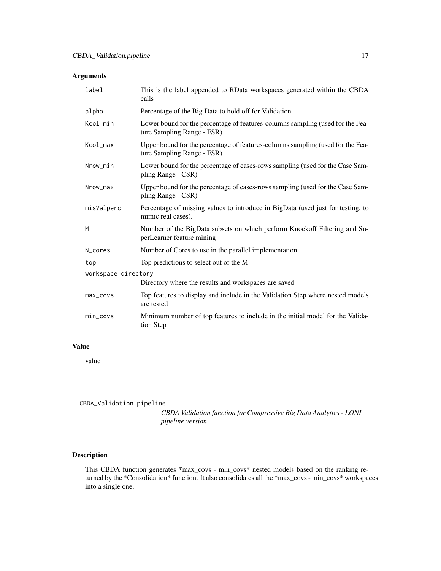<span id="page-16-0"></span>

| This is the label appended to RData workspaces generated within the CBDA<br>calls                            |  |  |
|--------------------------------------------------------------------------------------------------------------|--|--|
| Percentage of the Big Data to hold off for Validation                                                        |  |  |
| Lower bound for the percentage of features-columns sampling (used for the Fea-<br>ture Sampling Range - FSR) |  |  |
| Upper bound for the percentage of features-columns sampling (used for the Fea-<br>ture Sampling Range - FSR) |  |  |
| Lower bound for the percentage of cases-rows sampling (used for the Case Sam-<br>pling Range - CSR)          |  |  |
| Upper bound for the percentage of cases-rows sampling (used for the Case Sam-<br>pling Range - CSR)          |  |  |
| Percentage of missing values to introduce in BigData (used just for testing, to<br>mimic real cases).        |  |  |
| Number of the BigData subsets on which perform Knockoff Filtering and Su-<br>perLearner feature mining       |  |  |
| Number of Cores to use in the parallel implementation                                                        |  |  |
| Top predictions to select out of the M                                                                       |  |  |
| workspace_directory                                                                                          |  |  |
| Directory where the results and workspaces are saved                                                         |  |  |
| Top features to display and include in the Validation Step where nested models<br>are tested                 |  |  |
| Minimum number of top features to include in the initial model for the Valida-<br>tion Step                  |  |  |
|                                                                                                              |  |  |

#### Value

value

CBDA\_Validation.pipeline

*CBDA Validation function for Compressive Big Data Analytics - LONI pipeline version*

# Description

This CBDA function generates \*max\_covs - min\_covs\* nested models based on the ranking returned by the \*Consolidation\* function. It also consolidates all the \*max\_covs - min\_covs\* workspaces into a single one.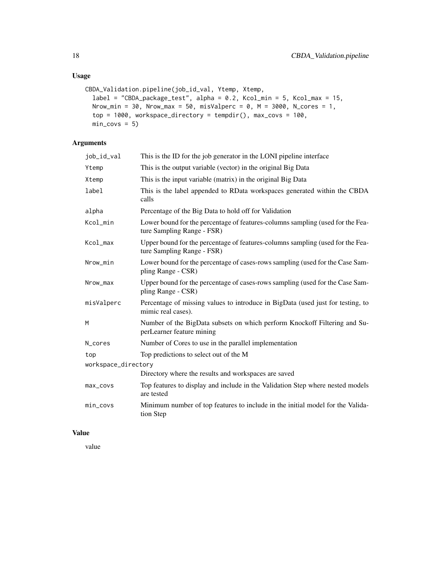# Usage

```
CBDA_Validation.pipeline(job_id_val, Ytemp, Xtemp,
 label = "CBDA_package_test", alpha = 0.2, Kcol_min = 5, Kcol_max = 15,
 Nrow_min = 30, Nrow_max = 50, misValperc = 0, M = 3000, N_cores = 1,
 top = 1000, workspace_directory = tempdir(), max_covs = 100,
 min\_covs = 5
```
# Arguments

| job_id_val          | This is the ID for the job generator in the LONI pipeline interface                                          |  |
|---------------------|--------------------------------------------------------------------------------------------------------------|--|
| Ytemp               | This is the output variable (vector) in the original Big Data                                                |  |
| Xtemp               | This is the input variable (matrix) in the original Big Data                                                 |  |
| label               | This is the label appended to RData workspaces generated within the CBDA<br>calls                            |  |
| alpha               | Percentage of the Big Data to hold off for Validation                                                        |  |
| Kcol_min            | Lower bound for the percentage of features-columns sampling (used for the Fea-<br>ture Sampling Range - FSR) |  |
| Kcol_max            | Upper bound for the percentage of features-columns sampling (used for the Fea-<br>ture Sampling Range - FSR) |  |
| Nrow_min            | Lower bound for the percentage of cases-rows sampling (used for the Case Sam-<br>pling Range - CSR)          |  |
| Nrow_max            | Upper bound for the percentage of cases-rows sampling (used for the Case Sam-<br>pling Range - CSR)          |  |
| misValperc          | Percentage of missing values to introduce in BigData (used just for testing, to<br>mimic real cases).        |  |
| M                   | Number of the BigData subsets on which perform Knockoff Filtering and Su-<br>perLearner feature mining       |  |
| N_cores             | Number of Cores to use in the parallel implementation                                                        |  |
| top                 | Top predictions to select out of the M                                                                       |  |
| workspace_directory |                                                                                                              |  |
|                     | Directory where the results and workspaces are saved                                                         |  |
| max_covs            | Top features to display and include in the Validation Step where nested models<br>are tested                 |  |
| min_covs            | Minimum number of top features to include in the initial model for the Valida-<br>tion Step                  |  |

# Value

value